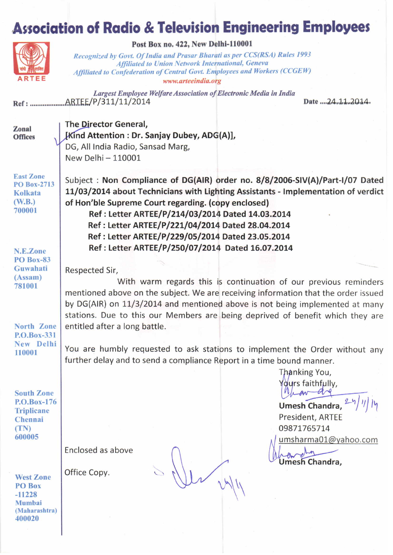## **Association of Radio & Television Engineering Employees**



Post Box no. 422, New Delhi-110001

Recognized by Govt. Of India and Prasar Bharati as per CCS(RSA) Rules 1993 Affiliated to Union Network International, Geneva Affiliated to Confederation of Central Govt. Employees and Workers (CCGEW) www.arteeindia.org

Largest Employee Welfare Association of Electronic Media in India 

Date ....24.11.2014.

Zonal **Offices**  The Director General, [Kind Attention : Dr. Sanjay Dubey, ADG(A)], DG, All India Radio, Sansad Marg, New Delhi - 110001

**East Zone PO Box-2713 Kolkata**  $(W.B.)$ 700001

Subject: Non Compliance of DG(AIR) order no. 8/8/2006-SIV(A)/Part-I/07 Dated 11/03/2014 about Technicians with Lighting Assistants - Implementation of verdict of Hon'ble Supreme Court regarding. (copy enclosed) Ref : Letter ARTEE/P/214/03/2014 Dated 14.03.2014 Ref: Letter ARTEE/P/221/04/2014 Dated 28.04.2014 Ref : Letter ARTEE/P/229/05/2014 Dated 23.05.2014 Ref: Letter ARTEE/P/250/07/2014 Dated 16.07.2014

With warm regards this is continuation of our previous reminders

mentioned above on the subject. We are receiving information that the order issued by DG(AIR) on 11/3/2014 and mentioned above is not being implemented at many stations. Due to this our Members are being deprived of benefit which they are

N.E.Zone **PO Box-83** Guwahati  $(Assam)$ 781001

North Zone

P.O.Box-331 New Delhi You are humbly requested to ask stations to implement the Order without any 110001 further delay and to send a compliance Report in a time bound manner.

Respected Sir,

entitled after a long battle.

**South Zone** P.O.Box-176 **Triplicane** Chennai  $(TN)$ 600005

**West Zone** PO Box  $-11228$ Mumbai (Maharashtra) 400020

Enclosed as above

Office Copy.

 $= \sqrt{\mu}$   $v\sqrt{\mu}$ 

Thanking You, Yours faithfully. Mar are Umesh Chandra,

President, ARTEE 09871765714 umsharma01@yahoo.com

 $n_{\rm ph}$ Umesh Chandra,